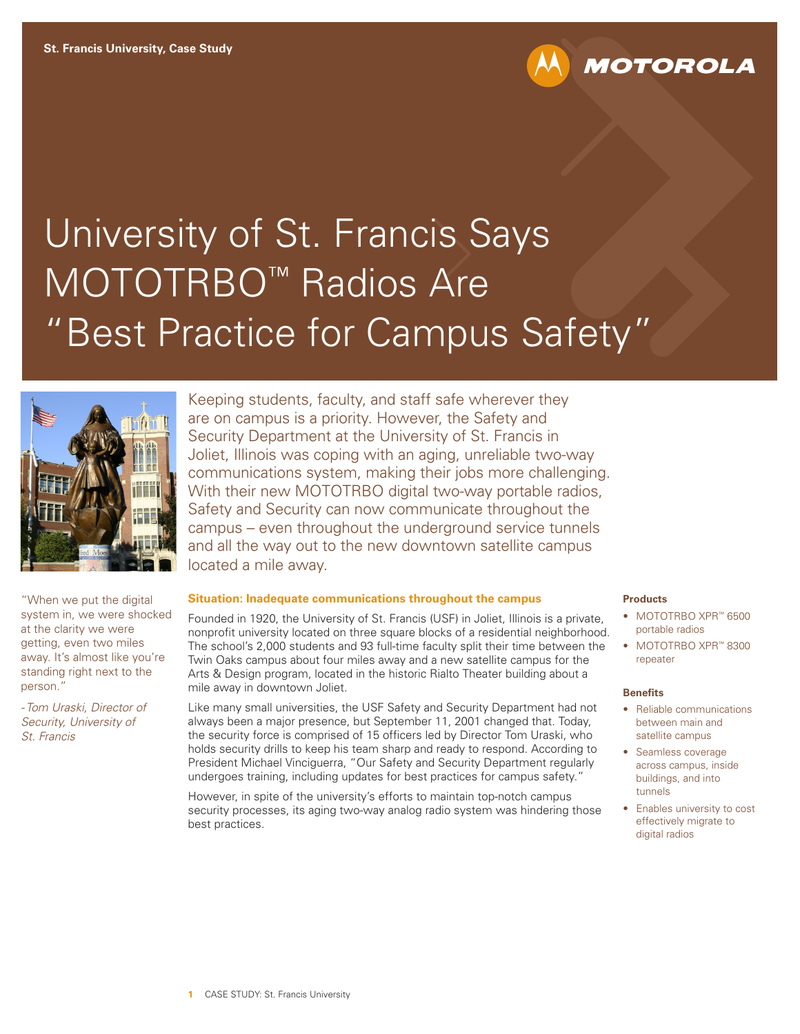# University of St. Francis Says MOTOTRBO<sup>™</sup> Radios Are "Best Practice for Campus Safety"



"When we put the digital system in, we were shocked at the clarity we were getting, even two miles away. It's almost like you're standing right next to the person."

*- Tom Uraski, Director of Security, University of St. Francis* 

Keeping students, faculty, and staff safe wherever they are on campus is a priority. However, the Safety and Security Department at the University of St. Francis in Joliet, Illinois was coping with an aging, unreliable two-way communications system, making their jobs more challenging. With their new MOTOTRBO digital two-way portable radios, Safety and Security can now communicate throughout the campus – even throughout the underground service tunnels and all the way out to the new downtown satellite campus located a mile away.

### **Situation: Inadequate communications throughout the campus**

Founded in 1920, the University of St. Francis (USF) in Joliet, Illinois is a private, nonprofit university located on three square blocks of a residential neighborhood. The school's 2,000 students and 93 full-time faculty split their time between the Twin Oaks campus about four miles away and a new satellite campus for the Arts & Design program, located in the historic Rialto Theater building about a mile away in downtown Joliet.

Like many small universities, the USF Safety and Security Department had not always been a major presence, but September 11, 2001 changed that. Today, the security force is comprised of 15 officers led by Director Tom Uraski, who holds security drills to keep his team sharp and ready to respond. According to President Michael Vinciguerra, "Our Safety and Security Department regularly undergoes training, including updates for best practices for campus safety."

However, in spite of the university's efforts to maintain top-notch campus security processes, its aging two-way analog radio system was hindering those best practices.

### **Products**

• MOTOTRBO XPR™ 6500 portable radios

**MOTOROLA** 

• MOTOTRBO XPR™ 8300 repeater

### **Benefits**

- Reliable communications between main and satellite campus
- Seamless coverage across campus, inside buildings, and into tunnels
- Enables university to cost effectively migrate to digital radios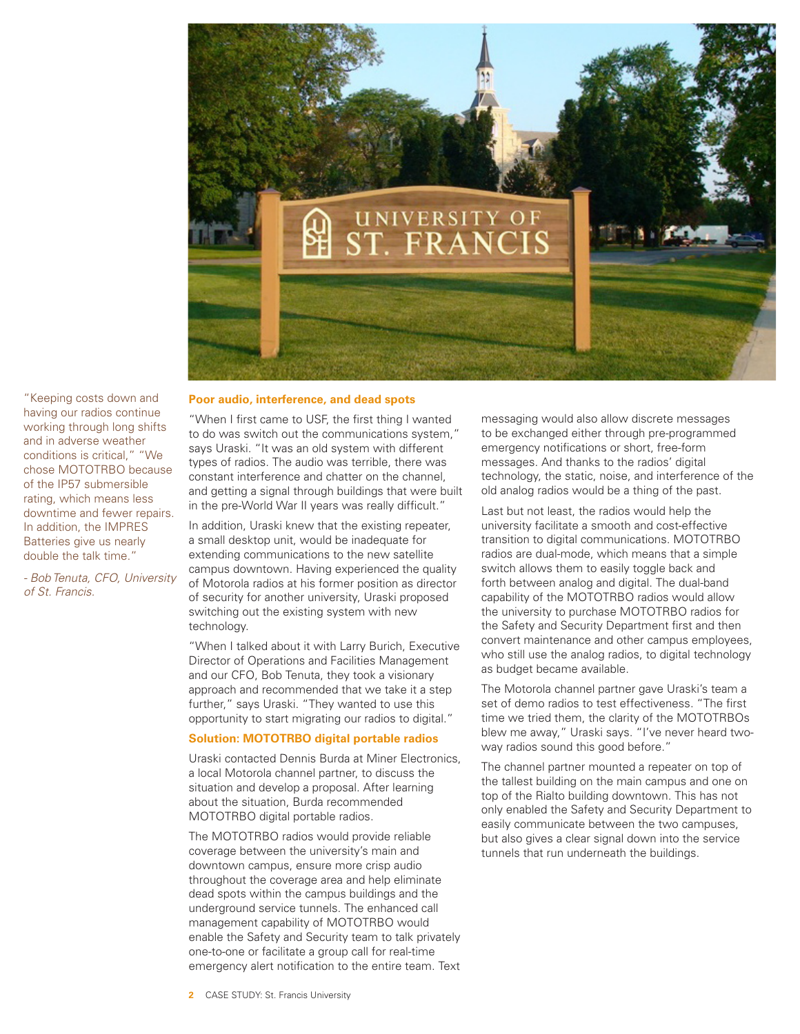

"Keeping costs down and having our radios continue working through long shifts and in adverse weather conditions is critical," "We chose MOTOTRBO because of the IP57 submersible rating, which means less downtime and fewer repairs. In addition, the IMPRES Batteries give us nearly double the talk time."

*- Bob Tenuta, CFO, University of St. Francis.*

### **Poor audio, interference, and dead spots**

"When I first came to USF, the first thing I wanted to do was switch out the communications system," says Uraski. "It was an old system with different types of radios. The audio was terrible, there was constant interference and chatter on the channel, and getting a signal through buildings that were built in the pre-World War II years was really difficult."

In addition, Uraski knew that the existing repeater, a small desktop unit, would be inadequate for extending communications to the new satellite campus downtown. Having experienced the quality of Motorola radios at his former position as director of security for another university, Uraski proposed switching out the existing system with new technology.

"When I talked about it with Larry Burich, Executive Director of Operations and Facilities Management and our CFO, Bob Tenuta, they took a visionary approach and recommended that we take it a step further," says Uraski. "They wanted to use this opportunity to start migrating our radios to digital."

### **Solution: MOTOTRBO digital portable radios**

Uraski contacted Dennis Burda at Miner Electronics, a local Motorola channel partner, to discuss the situation and develop a proposal. After learning about the situation, Burda recommended MOTOTRBO digital portable radios.

The MOTOTRBO radios would provide reliable coverage between the university's main and downtown campus, ensure more crisp audio throughout the coverage area and help eliminate dead spots within the campus buildings and the underground service tunnels. The enhanced call management capability of MOTOTRBO would enable the Safety and Security team to talk privately one-to-one or facilitate a group call for real-time emergency alert notification to the entire team. Text

messaging would also allow discrete messages to be exchanged either through pre-programmed emergency notifications or short, free-form messages. And thanks to the radios' digital technology, the static, noise, and interference of the old analog radios would be a thing of the past.

Last but not least, the radios would help the university facilitate a smooth and cost-effective transition to digital communications. MOTOTRBO radios are dual-mode, which means that a simple switch allows them to easily toggle back and forth between analog and digital. The dual-band capability of the MOTOTRBO radios would allow the university to purchase MOTOTRBO radios for the Safety and Security Department first and then convert maintenance and other campus employees, who still use the analog radios, to digital technology as budget became available.

The Motorola channel partner gave Uraski's team a set of demo radios to test effectiveness. "The first time we tried them, the clarity of the MOTOTRBOs blew me away," Uraski says. "I've never heard twoway radios sound this good before."

The channel partner mounted a repeater on top of the tallest building on the main campus and one on top of the Rialto building downtown. This has not only enabled the Safety and Security Department to easily communicate between the two campuses, but also gives a clear signal down into the service tunnels that run underneath the buildings.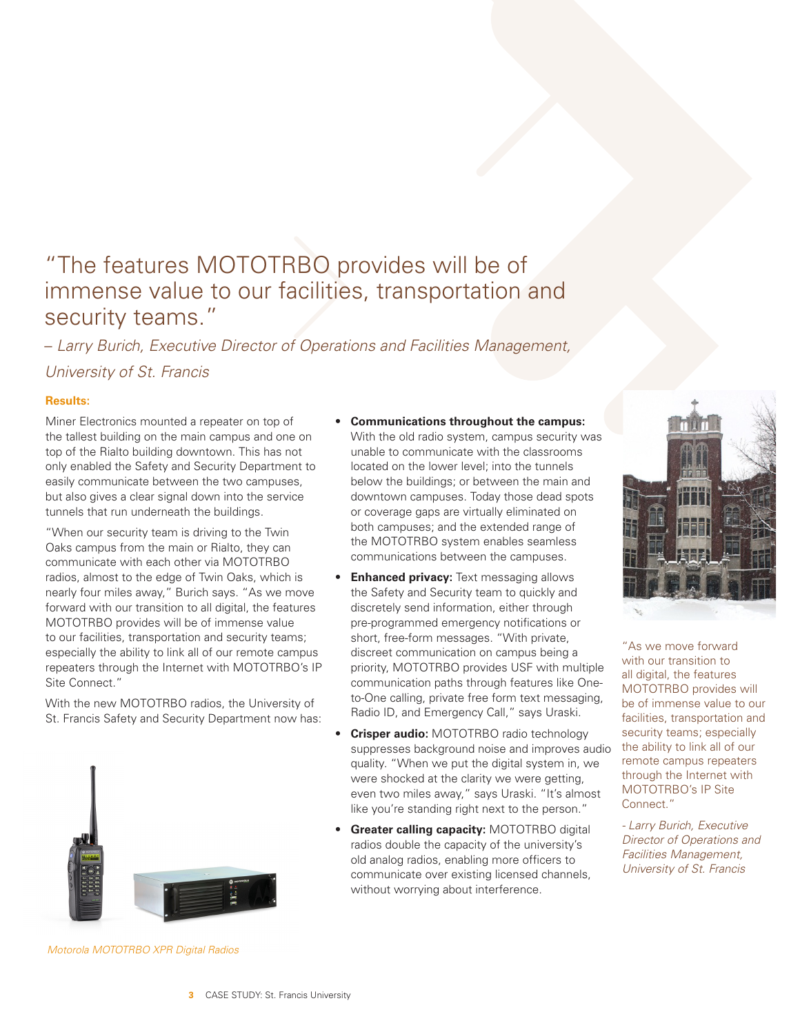# "The features MOTOTRBO provides will be of immense value to our facilities, transportation and security teams."

– *Larry Burich, Executive Director of Operations and Facilities Management,* 

*University of St. Francis*

# **Results:**

Miner Electronics mounted a repeater on top of the tallest building on the main campus and one on top of the Rialto building downtown. This has not only enabled the Safety and Security Department to easily communicate between the two campuses, but also gives a clear signal down into the service tunnels that run underneath the buildings.

"When our security team is driving to the Twin Oaks campus from the main or Rialto, they can communicate with each other via MOTOTRBO radios, almost to the edge of Twin Oaks, which is nearly four miles away," Burich says. "As we move forward with our transition to all digital, the features MOTOTRBO provides will be of immense value to our facilities, transportation and security teams; especially the ability to link all of our remote campus repeaters through the Internet with MOTOTRBO's IP Site Connect."

With the new MOTOTRBO radios, the University of St. Francis Safety and Security Department now has:



*Motorola MOTOTRBO XPR Digital Radios*

- **Communications throughout the campus:** With the old radio system, campus security was unable to communicate with the classrooms located on the lower level; into the tunnels below the buildings; or between the main and downtown campuses. Today those dead spots or coverage gaps are virtually eliminated on both campuses; and the extended range of the MOTOTRBO system enables seamless communications between the campuses.
- **Enhanced privacy:** Text messaging allows the Safety and Security team to quickly and discretely send information, either through pre-programmed emergency notifications or short, free-form messages. "With private, discreet communication on campus being a priority, MOTOTRBO provides USF with multiple communication paths through features like Oneto-One calling, private free form text messaging, Radio ID, and Emergency Call," says Uraski.
- **Crisper audio:** MOTOTRBO radio technology suppresses background noise and improves audio quality. "When we put the digital system in, we were shocked at the clarity we were getting, even two miles away," says Uraski. "It's almost like you're standing right next to the person."
- **Greater calling capacity:** MOTOTRBO digital radios double the capacity of the university's old analog radios, enabling more officers to communicate over existing licensed channels, without worrying about interference.



"As we move forward with our transition to all digital, the features MOTOTRBO provides will be of immense value to our facilities, transportation and security teams; especially the ability to link all of our remote campus repeaters through the Internet with MOTOTRBO's IP Site Connect."

*- Larry Burich, Executive Director of Operations and Facilities Management, University of St. Francis*